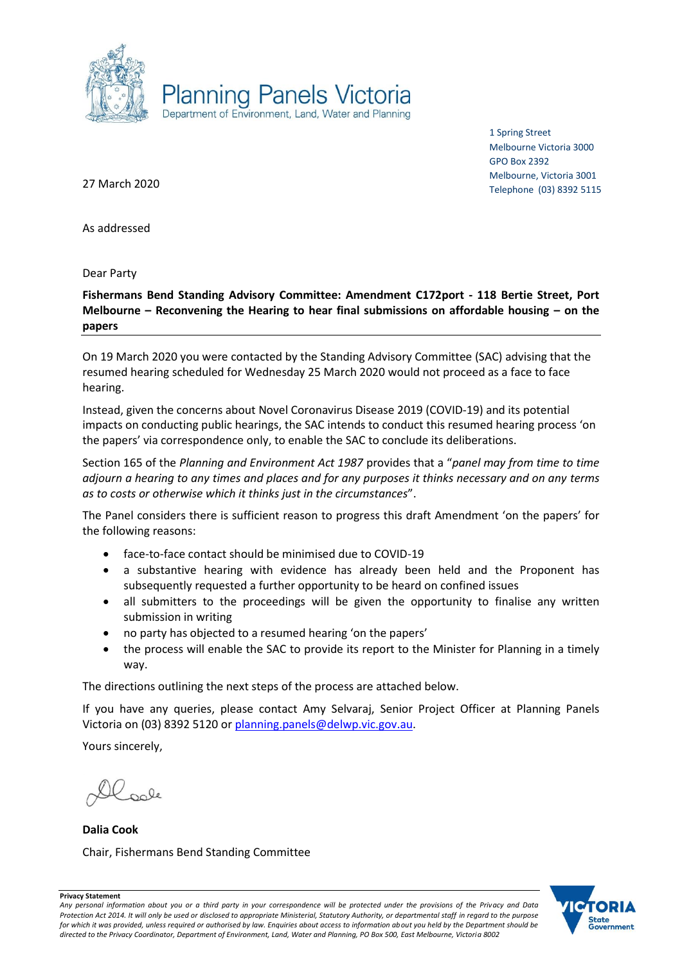

1 Spring Street Melbourne Victoria 3000 GPO Box 2392 Melbourne, Victoria 3001 Telephone (03) 8392 5115

27 March 2020

As addressed

Dear Party

## **Fishermans Bend Standing Advisory Committee: Amendment C172port - 118 Bertie Street, Port Melbourne – Reconvening the Hearing to hear final submissions on affordable housing – on the papers**

On 19 March 2020 you were contacted by the Standing Advisory Committee (SAC) advising that the resumed hearing scheduled for Wednesday 25 March 2020 would not proceed as a face to face hearing.

Instead, given the concerns about Novel Coronavirus Disease 2019 (COVID-19) and its potential impacts on conducting public hearings, the SAC intends to conduct this resumed hearing process 'on the papers' via correspondence only, to enable the SAC to conclude its deliberations.

Section 165 of the *Planning and Environment Act 1987* provides that a "*panel may from time to time adjourn a hearing to any times and places and for any purposes it thinks necessary and on any terms as to costs or otherwise which it thinks just in the circumstances*".

The Panel considers there is sufficient reason to progress this draft Amendment 'on the papers' for the following reasons:

- face-to-face contact should be minimised due to COVID-19
- a substantive hearing with evidence has already been held and the Proponent has subsequently requested a further opportunity to be heard on confined issues
- all submitters to the proceedings will be given the opportunity to finalise any written submission in writing
- no party has objected to a resumed hearing 'on the papers'
- the process will enable the SAC to provide its report to the Minister for Planning in a timely way.

The directions outlining the next steps of the process are attached below.

If you have any queries, please contact Amy Selvaraj, Senior Project Officer at Planning Panels Victoria on (03) 8392 5120 or [planning.panels@delwp.vic.gov.au.](mailto:planning.panels@delwp.vic.gov.au)

Yours sincerely,

lloole

**Dalia Cook** Chair, Fishermans Bend Standing Committee



**Privacy Statement**

*Any personal information about you or a third party in your correspondence will be protected under the provisions of the Privacy and Data Protection Act 2014. It will only be used or disclosed to appropriate Ministerial, Statutory Authority, or departmental staff in regard to the purpose*  for which it was provided, unless required or authorised by law. Enquiries about access to information about you held by the Department should be *directed to the Privacy Coordinator, Department of Environment, Land, Water and Planning, PO Box 500, East Melbourne, Victoria 8002*